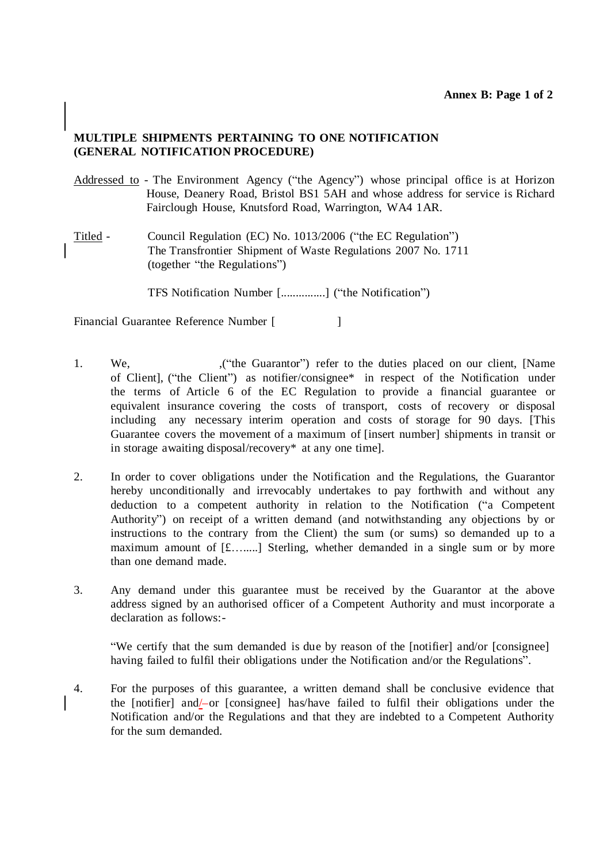## **MULTIPLE SHIPMENTS PERTAINING TO ONE NOTIFICATION (GENERAL NOTIFICATION PROCEDURE)**

- Addressed to The Environment Agency ("the Agency") whose principal office is at Horizon House, Deanery Road, Bristol BS1 5AH and whose address for service is Richard Fairclough House, Knutsford Road, Warrington, WA4 1AR.
- Titled Council Regulation (EC) No. 1013/2006 ("the EC Regulation") The Transfrontier Shipment of Waste Regulations 2007 No. 1711 (together "the Regulations")

TFS Notification Number [...............] ("the Notification")

Financial Guarantee Reference Number [ ]

- 1. We,  $($  ("the Guarantor") refer to the duties placed on our client, [Name of Client], ("the Client") as notifier/consignee\* in respect of the Notification under the terms of Article 6 of the EC Regulation to provide a financial guarantee or equivalent insurance covering the costs of transport, costs of recovery or disposal including any necessary interim operation and costs of storage for 90 days. [This Guarantee covers the movement of a maximum of [insert number] shipments in transit or in storage awaiting disposal/recovery\* at any one time].
- 2. In order to cover obligations under the Notification and the Regulations, the Guarantor hereby unconditionally and irrevocably undertakes to pay forthwith and without any deduction to a competent authority in relation to the Notification ("a Competent Authority") on receipt of a written demand (and notwithstanding any objections by or instructions to the contrary from the Client) the sum (or sums) so demanded up to a maximum amount of [£….....] Sterling, whether demanded in a single sum or by more than one demand made.
- 3. Any demand under this guarantee must be received by the Guarantor at the above address signed by an authorised officer of a Competent Authority and must incorporate a declaration as follows:-

"We certify that the sum demanded is due by reason of the [notifier] and/or [consignee] having failed to fulfil their obligations under the Notification and/or the Regulations".

4. For the purposes of this guarantee, a written demand shall be conclusive evidence that the [notifier] and/-or [consignee] has/have failed to fulfil their obligations under the Notification and/or the Regulations and that they are indebted to a Competent Authority for the sum demanded.